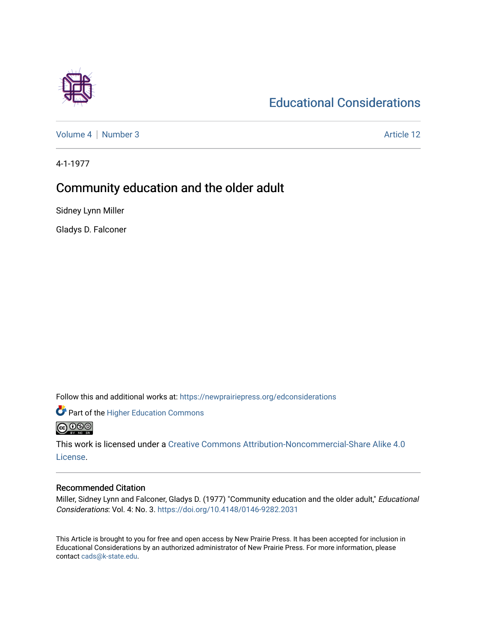# [Educational Considerations](https://newprairiepress.org/edconsiderations)

[Volume 4](https://newprairiepress.org/edconsiderations/vol4) | [Number 3](https://newprairiepress.org/edconsiderations/vol4/iss3) Article 12

4-1-1977

## Community education and the older adult

Sidney Lynn Miller

Gladys D. Falconer

Follow this and additional works at: [https://newprairiepress.org/edconsiderations](https://newprairiepress.org/edconsiderations?utm_source=newprairiepress.org%2Fedconsiderations%2Fvol4%2Fiss3%2F12&utm_medium=PDF&utm_campaign=PDFCoverPages) 

**Part of the Higher Education Commons** 

**@@@** 

This work is licensed under a [Creative Commons Attribution-Noncommercial-Share Alike 4.0](https://creativecommons.org/licenses/by-nc-sa/4.0/) [License.](https://creativecommons.org/licenses/by-nc-sa/4.0/)

### Recommended Citation

Miller, Sidney Lynn and Falconer, Gladys D. (1977) "Community education and the older adult," Educational Considerations: Vol. 4: No. 3.<https://doi.org/10.4148/0146-9282.2031>

This Article is brought to you for free and open access by New Prairie Press. It has been accepted for inclusion in Educational Considerations by an authorized administrator of New Prairie Press. For more information, please contact [cads@k-state.edu](mailto:cads@k-state.edu).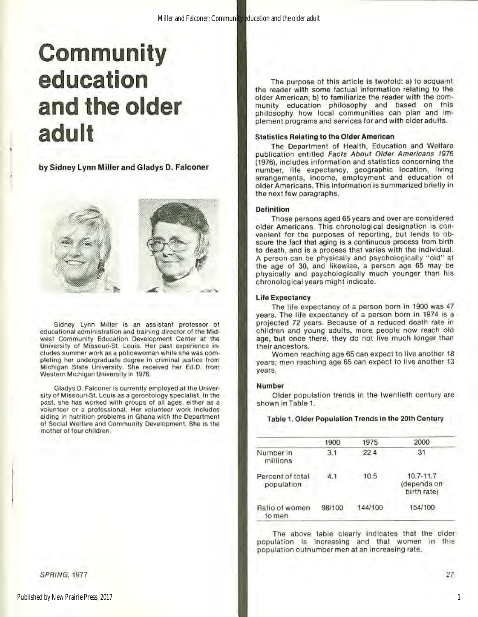# **Community education and the older adult**

l

 $\mathbb{I}$ 

by Sidney Lynn Miller and Gladys **0.** Falconer



**Sidney Lynn Miller is an assistant professor of educational administration and. training director of the Mid·**  west Community Education Development Center at the **University of Missouri·St. Louis. Her past experience in·**  cludes summer work as a policewoman while she was com**pleting her undergraduate degree in criminal justice from Michigan State University. She received her Ed.0 . from**  Western Michigan University In 1976.

Gladys D. Falconer is currently employed al the Univer **sity of Missouri ·St. Louis as a gerontology specialist. In the**  past, she has worked with groups of all ages, either as a **volunteer or a professional. Her volunteer work includes aiding in nutrition problems in Ghana \Vith the Department**  of Social Welfare and Community Development. She is the **mother of four children.** 

SPRING, 1977

The purpose of this article is twofold: a) to acquaint the reader with some factual information relating 10 the older American; b) to familiarize the reader with the community education philosophy and based on this philosophy how local communities can plan and implement programs and services for and with older adulls.

#### Statistics Relating to the Older American

The Department of Heallh, Education and Welfare publication entitled Facts About Older Americans 1976 (1976). includes information and statistics concerning the number, life expectancy, geographic location, living arrangements, income, employment and education of older Americans. This informalion is summarized briefly in the next few paragraphs.

#### Definition

Those persons aged 65 years and over are considered older Americans. This chronological designation is con· venient for the purposes of reporting, but tends to obscure the fact that aging is a continuous process from birth to death, and is a process that varies with the individual. A person can be physically and psychologically "old" at the age of 30, and likewise, a person age 65 may be physically and psychologically much younger than his chronological years might Indicate.

#### Life Expectancy

The life expectancy of a person born in 1900 was 47 years. The life expeclancy of a person born in 1974 Is a projected 72 years. Because of a reduced death rate in children and young adults, more people now reach old age, but once there, they do not live much longer than their ancestors.

Women reaching age 65 can expect to live another 18 years; men reaching age 65 can expect to live another 13 years.

#### Number

Older population trends in the twentieth century are shown in Table 1.

Table 1. Older Population Trends in the 20th Century

|                                 | 1900   | 1975    | 2000                                        |
|---------------------------------|--------|---------|---------------------------------------------|
| Number in<br>millions           | 3.1    | 22.4    | 31                                          |
| Percent of total.<br>population | 4.1    | 10.5    | $10.7 - 11.7$<br>(depends on<br>birth rate) |
| Ratio of women<br>to men        | 98/100 | 144/100 | 154/100                                     |

The above table clearly indicates that the older populalion is increasing and that women in this population outnumber men at an increasing rate.

27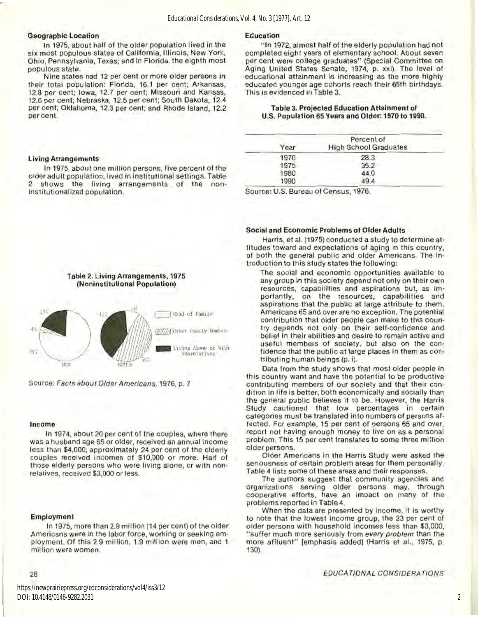#### **Geographic Location**

**Living Arrangements** 

institutionalized population.

 $\mathfrak{D}$ 

In 1975, about half of the older population lived in the six most populous states of California, Illinois, New York, Ohio, Pennsylvania, Texas; and in Florida, the eighth most populous state.

Nine states had 12 per cent or more older persons in their total population: Florida, 16.1 per cent; Arkansas, 12.8 per cent; Iowa, 12.7 per cent; Missouri and Kansas, 12.6 per cent; Nebraska, 12.5 per cent; South Dakota, 12.4 per cent; Oklahoma, 12.3 per cent; and Rhode Island, 12.2 per cent.

In 1975, about one million persons, five percent of the older adult population, lived in institutional settings. Table shows the living arrangements of the non-

#### Education

"In 1972, almost half of the elderly population had not completed eight years of elementary school. About seven per cent were college graduates" (Special Committee on Aging United States Senate, 1974, p. xxi). The level of educational attainment is increasing as the more highly educated younger age cohorts reach their 65th birthdays. This is evidenced in Table 3.

#### Table 3, Projected Education Attainment of U.S. Population 65 Years and Older: 1970 to 1990.

| Year | Percent of<br><b>High School Graduates</b> |
|------|--------------------------------------------|
| 1970 | 28.3                                       |
| 1975 | 35.2                                       |
| 1980 | 44.0                                       |
| 1990 | 49.4                                       |

Source: U.S. Bureau of Census, 1976.

#### Social and Economic Problems of Older Adults

Harris, et al. (1975) conducted a study to determine attitudes toward and expectations of aging in this country. of both the general public and older Americans. The introduction to this study states the following:

The social and economic opportunities available to any group in this society depend not only on their own resources, capabilities and aspirations but, as importantly, on the resources, capabilities and<br>aspirations that the public at large attribute to them. Americans 65 and over are no exception. The potential contribution that older people can make to this country depends not only on their self-confidence and belief in their abilities and desire to remain active and useful members of society, but also on the confidence that the public at large places in them as contributing human beings (p. i).

Data from the study shows that most older people in this country want and have the potential to be productive contributing members of our society and that their condition in life is better, both economically and socially than the general public believes it to be. However, the Harris Study cautioned that low percentages in certain categories must be translated into numbers of persons affected. For example, 15 per cent of persons 65 and over, report not having enough money to live on as a personal problem. This 15 per cent translates to some three million older persons.

Older Americans in the Harris Study were asked the seriousness of certain problem areas for them personally. Table 4 lists some of these areas and their responses.

The authors suggest that community agencies and organizations serving older persons may, through cooperative efforts, have an impact on many of the problems reported in Table 4.

When the data are presented by income, it is worthy to note that the lowest income group, the 23 per cent of older persons with household incomes less than \$3,000, "suffer much more seriously from every problem than the more affluent" [emphasis added] (Harris et al., 1975, p. 130).

#### Income

In 1974, about 20 per cent of the couples, where there was a husband age 65 or older, received an annual income less than \$4,000; approximately 24 per cent of the elderly couples received incomes of \$10,000 or more. Half of those elderly persons who were living alone, or with nonrelatives, received \$3,000 or less.

#### **Employment**

In 1975, more than 2.9 million (14 per cent) of the older Americans were in the labor force, working or seeking employment. Of this 2.9 million, 1.9 million were men, and 1 million were women.

#### EDUCATIONAL CONSIDERATIONS

https://newprairiepress.org/edconsiderations/vol4/iss3/12 DOI: 10.4148/0146-9282.2031

28



Table 2. Living Arrangements, 1975



Source: Facts about Older Americans, 1976, p. 7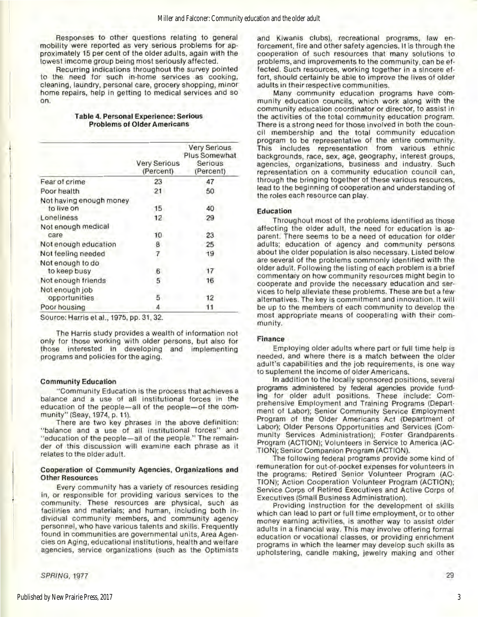Responses to other questions relating to general mobility were reported as very serious problems for approximately 15 per cent of the older adults, again with the lowest imcome group being most seriously affected.

Recurring indications throughout the survey pointed to the need for such in-home services as cooking, cleaning, laundry, personal care, grocery shopping, minor home repairs, help in getting 10 medical services and so on.

| Table 4. Personal Experience: Serious |  |
|---------------------------------------|--|
| <b>Problems of Older Americans</b>    |  |

|                                       | Very Serious<br>(Percent) | <b>Very Serious</b><br>Plus Somewhat<br>Serious<br>(Percent) |
|---------------------------------------|---------------------------|--------------------------------------------------------------|
| Fear of crime                         | 23                        | 47                                                           |
| Poor health                           | 21                        | 50                                                           |
| Not having enough money<br>to live on | 15                        | 40                                                           |
| Loneliness                            | 12                        | 29                                                           |
| Not enough medical<br>care            | 10                        | 23                                                           |
| Not enough education                  | 8                         | 25                                                           |
| Not feeling needed                    |                           | 19                                                           |
| Not enough to do<br>to keep busy      | 6                         | 17                                                           |
| Not enough friends                    | 5                         | 16                                                           |
| Not enough job<br>opportunities       | 5                         | 12                                                           |
| Poor housing                          | 4                         | 11                                                           |

Source: Harris et al., 1975, pp.31, 32.

The Harris study provides a wealth of information not only for those working with otder persons, but also for those interested in developing and implementing programs and policies for the aging.

#### Community Education

I

"Community Education is the process that achieves a balance and a use of all Institutional forces in the education of the people-all of the people-of the community" (Seay, 1974, p. 11).

There are two key phrases in the above definition: "balance and a use of all institutional forces" and "education of the people-all of the people." The remain· der of this discussion will examine each phrase as it relates to the older adult.

#### Cooperation of Community Agencies, Organizations and Other Resources

Every community has a variety of resources residing in, or responsible for providing various services to the community. These resources are physical, such as facilities and materials; and human, Including both In· dividual community members, and community agency personnel, who have various talents and skills. Frequently found in communities are governmental units, Area Agen· cies on Aging, educational institutions, health and welfare agencies, service organizations (such as the Optimists

SPRING, 1977

and Kiwanis clubs), recreational programs, law en· forcement, fire and other safety agencies. It is through the cooperation of such resources that many solutions to problems, and improvements to the community, can beef· fected. Such resources, working together in a sincere ef· fort, should certainly be able to improve the lives of older adults in their respective communities.

Many community education programs have community education councils, which work along with the community education coordinator or director, to assist in the activities of the total community education program. There is a strong need for those involved in both the coun· ell membership and the total community education program to be representative of the entire community. This includes representation from various ethnic backgrounds, race, sex, age, geography, interest groups, agencies, organizations, business and industry. Such representation on a community education council can, through the bringing together of these various resources, lead to the beginning of cooperation and understanding of the roles each resource can play.

#### Education

Throughout most of the problems identified as those affecting the older adult, the need for education is apparent. There seems to be a need of education for older adults; education of agency and community persons about the older population is also necessary. Listed below are several of the problems commonly identified with the older adult. Following the listing of each problem is a brief commentary on how community resources might begin to cooperate and provide the necessary education and ser· vices to help alleviate these problems. These are but a few alternatives. The key is commitment and innovation. It will be up to the members of each community to develop the most appropriate means of cooperating with their com· munity.

#### **Finance**

Employing older adults where part or full time help is needed, and where there is a match between the older adult's capabilities and the job requirements, is one way to suplement the income of older Americans.

In addition to the locally sponsored positions. several programs administered by federal agencies provide funding for older adult positions. These Include: Com· prehensive Employment and Training Programs (Depart· ment of Labor); Senior Community Service Employment Program of the Older Americans Act (Department of Labor); Older Persons Opp0rtunities and Services (Com· munity Services Administration); Foster Grandparents Program (ACTION); Volunteers in Service to America (AC· TION); Senior Companion Program (ACTION).

The following federal programs provide some kind of remuneration for out-of-pocket expenses for volunteers in the programs: Retired Senior Volunteer Program (AC· TION); Action Cooperation Volunteer Program (ACTION); Service Corps of Retired Executives and Active Corps of Executives (Small Business Administration).

Providing instruction for the development of skills which can lead to part or full time employment, or to other money earning activities, is another way to assist older adults in a financial way. This may involve offering formal education or vocational classes, or providing enrichment programs in which the learner may develop such skills as upholstering. candle making, jewelry making and other

29